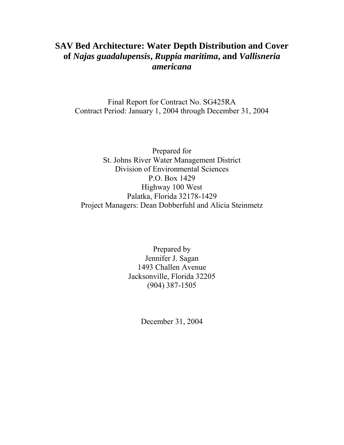## **SAV Bed Architecture: Water Depth Distribution and Cover of** *Najas guadalupensis***,** *Ruppia maritima***, and** *Vallisneria americana*

Final Report for Contract No. SG425RA Contract Period: January 1, 2004 through December 31, 2004

Prepared for St. Johns River Water Management District Division of Environmental Sciences P.O. Box 1429 Highway 100 West Palatka, Florida 32178-1429 Project Managers: Dean Dobberfuhl and Alicia Steinmetz

> Prepared by Jennifer J. Sagan 1493 Challen Avenue Jacksonville, Florida 32205 (904) 387-1505

> > December 31, 2004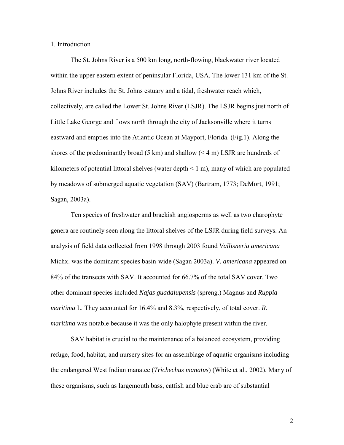1. Introduction

The St. Johns River is a 500 km long, north-flowing, blackwater river located within the upper eastern extent of peninsular Florida, USA. The lower 131 km of the St. Johns River includes the St. Johns estuary and a tidal, freshwater reach which, collectively, are called the Lower St. Johns River (LSJR). The LSJR begins just north of Little Lake George and flows north through the city of Jacksonville where it turns eastward and empties into the Atlantic Ocean at Mayport, Florida. (Fig.1). Along the shores of the predominantly broad  $(5 \text{ km})$  and shallow  $(< 4 \text{ m})$  LSJR are hundreds of kilometers of potential littoral shelves (water depth  $\leq 1$  m), many of which are populated by meadows of submerged aquatic vegetation (SAV) (Bartram, 1773; DeMort, 1991; Sagan, 2003a).

Ten species of freshwater and brackish angiosperms as well as two charophyte genera are routinely seen along the littoral shelves of the LSJR during field surveys. An analysis of field data collected from 1998 through 2003 found *Vallisneria americana* Michx. was the dominant species basin-wide (Sagan 2003a). *V. americana* appeared on 84% of the transects with SAV. It accounted for 66.7% of the total SAV cover. Two other dominant species included *Najas guadalupensis* (spreng.) Magnus and *Ruppia maritima* L. They accounted for 16.4% and 8.3%, respectively, of total cover. *R. maritima* was notable because it was the only halophyte present within the river.

SAV habitat is crucial to the maintenance of a balanced ecosystem, providing refuge, food, habitat, and nursery sites for an assemblage of aquatic organisms including the endangered West Indian manatee (*Trichechus manatus*) (White et al., 2002). Many of these organisms, such as largemouth bass, catfish and blue crab are of substantial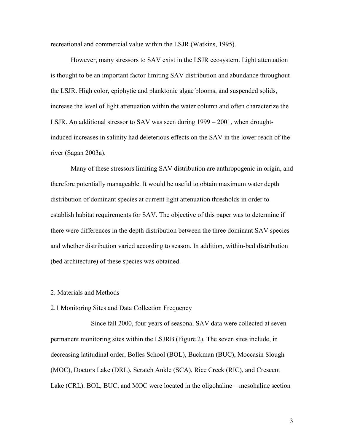recreational and commercial value within the LSJR (Watkins, 1995).

However, many stressors to SAV exist in the LSJR ecosystem. Light attenuation is thought to be an important factor limiting SAV distribution and abundance throughout the LSJR. High color, epiphytic and planktonic algae blooms, and suspended solids, increase the level of light attenuation within the water column and often characterize the LSJR. An additional stressor to SAV was seen during 1999 – 2001, when droughtinduced increases in salinity had deleterious effects on the SAV in the lower reach of the river (Sagan 2003a).

Many of these stressors limiting SAV distribution are anthropogenic in origin, and therefore potentially manageable. It would be useful to obtain maximum water depth distribution of dominant species at current light attenuation thresholds in order to establish habitat requirements for SAV. The objective of this paper was to determine if there were differences in the depth distribution between the three dominant SAV species and whether distribution varied according to season. In addition, within-bed distribution (bed architecture) of these species was obtained.

#### 2. Materials and Methods

2.1 Monitoring Sites and Data Collection Frequency

 Since fall 2000, four years of seasonal SAV data were collected at seven permanent monitoring sites within the LSJRB (Figure 2). The seven sites include, in decreasing latitudinal order, Bolles School (BOL), Buckman (BUC), Moccasin Slough (MOC), Doctors Lake (DRL), Scratch Ankle (SCA), Rice Creek (RIC), and Crescent Lake (CRL). BOL, BUC, and MOC were located in the oligohaline – mesohaline section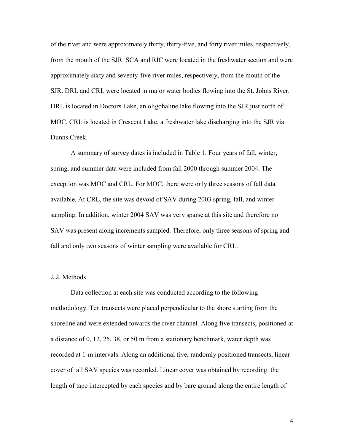of the river and were approximately thirty, thirty-five, and forty river miles, respectively, from the mouth of the SJR. SCA and RIC were located in the freshwater section and were approximately sixty and seventy-five river miles, respectively, from the mouth of the SJR. DRL and CRL were located in major water bodies flowing into the St. Johns River. DRL is located in Doctors Lake, an oligohaline lake flowing into the SJR just north of MOC. CRL is located in Crescent Lake, a freshwater lake discharging into the SJR via Dunns Creek.

A summary of survey dates is included in Table 1. Four years of fall, winter, spring, and summer data were included from fall 2000 through summer 2004. The exception was MOC and CRL. For MOC, there were only three seasons of fall data available. At CRL, the site was devoid of SAV during 2003 spring, fall, and winter sampling. In addition, winter 2004 SAV was very sparse at this site and therefore no SAV was present along increments sampled. Therefore, only three seasons of spring and fall and only two seasons of winter sampling were available for CRL.

#### 2.2. Methods

Data collection at each site was conducted according to the following methodology. Ten transects were placed perpendicular to the shore starting from the shoreline and were extended towards the river channel. Along five transects, positioned at a distance of 0, 12, 25, 38, or 50 m from a stationary benchmark, water depth was recorded at 1-m intervals. Along an additional five, randomly positioned transects, linear cover of all SAV species was recorded. Linear cover was obtained by recording the length of tape intercepted by each species and by bare ground along the entire length of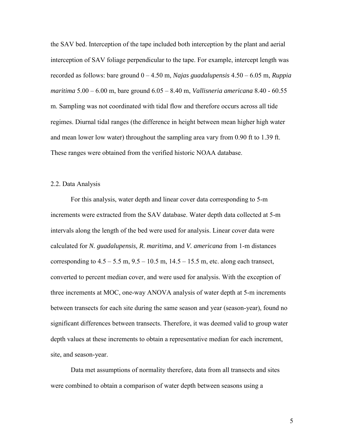the SAV bed. Interception of the tape included both interception by the plant and aerial interception of SAV foliage perpendicular to the tape. For example, intercept length was recorded as follows: bare ground 0 – 4.50 m, *Najas guadalupensis* 4.50 – 6.05 m, *Ruppia maritima* 5.00 – 6.00 m, bare ground 6.05 – 8.40 m, *Vallisneria americana* 8.40 - 60.55 m. Sampling was not coordinated with tidal flow and therefore occurs across all tide regimes. Diurnal tidal ranges (the difference in height between mean higher high water and mean lower low water) throughout the sampling area vary from 0.90 ft to 1.39 ft. These ranges were obtained from the verified historic NOAA database.

#### 2.2. Data Analysis

For this analysis, water depth and linear cover data corresponding to 5-m increments were extracted from the SAV database. Water depth data collected at 5-m intervals along the length of the bed were used for analysis. Linear cover data were calculated for *N. guadalupensis, R. maritima*, and *V. americana* from 1-m distances corresponding to  $4.5 - 5.5$  m,  $9.5 - 10.5$  m,  $14.5 - 15.5$  m, etc. along each transect, converted to percent median cover, and were used for analysis. With the exception of three increments at MOC, one-way ANOVA analysis of water depth at 5-m increments between transects for each site during the same season and year (season-year), found no significant differences between transects. Therefore, it was deemed valid to group water depth values at these increments to obtain a representative median for each increment, site, and season-year.

Data met assumptions of normality therefore, data from all transects and sites were combined to obtain a comparison of water depth between seasons using a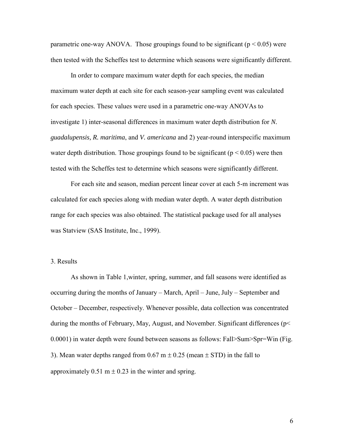parametric one-way ANOVA. Those groupings found to be significant ( $p < 0.05$ ) were then tested with the Scheffes test to determine which seasons were significantly different.

In order to compare maximum water depth for each species, the median maximum water depth at each site for each season-year sampling event was calculated for each species. These values were used in a parametric one-way ANOVAs to investigate 1) inter-seasonal differences in maximum water depth distribution for *N. guadalupensis, R. maritima*, and *V. americana* and 2) year-round interspecific maximum water depth distribution. Those groupings found to be significant ( $p < 0.05$ ) were then tested with the Scheffes test to determine which seasons were significantly different.

For each site and season, median percent linear cover at each 5-m increment was calculated for each species along with median water depth. A water depth distribution range for each species was also obtained. The statistical package used for all analyses was Statview (SAS Institute, Inc., 1999).

#### 3. Results

As shown in Table 1,winter, spring, summer, and fall seasons were identified as occurring during the months of January – March, April – June, July – September and October – December, respectively. Whenever possible, data collection was concentrated during the months of February, May, August, and November. Significant differences (p< 0.0001) in water depth were found between seasons as follows: Fall>Sum>Spr=Win (Fig. 3). Mean water depths ranged from  $0.67 \text{ m} \pm 0.25 \text{ (mean } \pm \text{STD)}$  in the fall to approximately  $0.51 \text{ m} \pm 0.23$  in the winter and spring.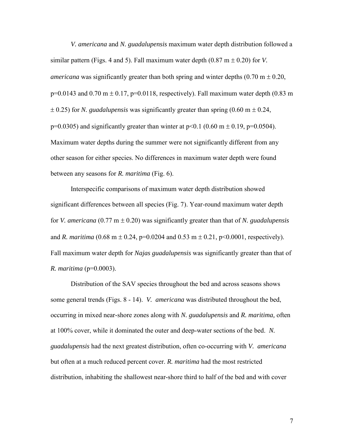*V. americana* and *N. guadalupensis* maximum water depth distribution followed a similar pattern (Figs. 4 and 5). Fall maximum water depth  $(0.87 \text{ m} \pm 0.20)$  for *V*. *americana* was significantly greater than both spring and winter depths  $(0.70 \text{ m} \pm 0.20,$  $p=0.0143$  and 0.70 m  $\pm$  0.17,  $p=0.0118$ , respectively). Fall maximum water depth (0.83 m  $\pm$  0.25) for *N. guadalupensis* was significantly greater than spring (0.60 m  $\pm$  0.24,  $p=0.0305$ ) and significantly greater than winter at  $p<0.1$  (0.60 m  $\pm$  0.19, p=0.0504). Maximum water depths during the summer were not significantly different from any other season for either species. No differences in maximum water depth were found between any seasons for *R. maritima* (Fig. 6).

Interspecific comparisons of maximum water depth distribution showed significant differences between all species (Fig. 7). Year-round maximum water depth for *V. americana* (0.77 m  $\pm$  0.20) was significantly greater than that of *N. guadalupensis* and *R. maritima* (0.68 m  $\pm$  0.24, p=0.0204 and 0.53 m  $\pm$  0.21, p<0.0001, respectively). Fall maximum water depth for *Najas guadalupensis* was significantly greater than that of *R. maritima* (p=0.0003).

Distribution of the SAV species throughout the bed and across seasons shows some general trends (Figs. 8 - 14). *V. americana* was distributed throughout the bed, occurring in mixed near-shore zones along with *N. guadalupensis* and *R. maritima,* often at 100% cover, while it dominated the outer and deep-water sections of the bed. *N. guadalupensis* had the next greatest distribution, often co-occurring with *V. americana* but often at a much reduced percent cover. *R. maritima* had the most restricted distribution, inhabiting the shallowest near-shore third to half of the bed and with cover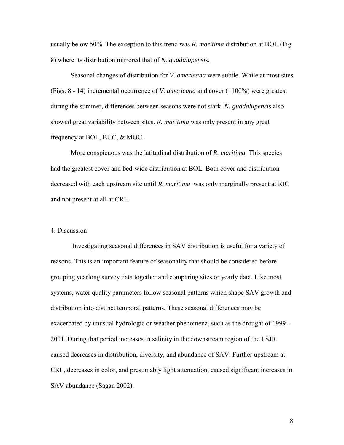usually below 50%. The exception to this trend was *R. maritima* distribution at BOL (Fig. 8) where its distribution mirrored that of *N. guadalupensis*.

Seasonal changes of distribution for *V. americana* were subtle. While at most sites (Figs. 8 - 14) incremental occurrence of *V. americana* and cover (=100%) were greatest during the summer, differences between seasons were not stark. *N. guadalupensis* also showed great variability between sites. *R. maritima* was only present in any great frequency at BOL, BUC, & MOC.

More conspicuous was the latitudinal distribution of *R. maritima.* This species had the greatest cover and bed-wide distribution at BOL. Both cover and distribution decreased with each upstream site until *R. maritima* was only marginally present at RIC and not present at all at CRL.

#### 4. Discussion

 Investigating seasonal differences in SAV distribution is useful for a variety of reasons. This is an important feature of seasonality that should be considered before grouping yearlong survey data together and comparing sites or yearly data. Like most systems, water quality parameters follow seasonal patterns which shape SAV growth and distribution into distinct temporal patterns. These seasonal differences may be exacerbated by unusual hydrologic or weather phenomena, such as the drought of 1999 – 2001. During that period increases in salinity in the downstream region of the LSJR caused decreases in distribution, diversity, and abundance of SAV. Further upstream at CRL, decreases in color, and presumably light attenuation, caused significant increases in SAV abundance (Sagan 2002).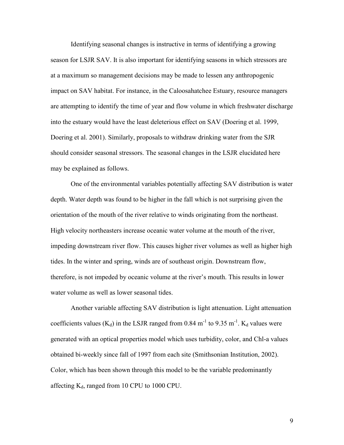Identifying seasonal changes is instructive in terms of identifying a growing season for LSJR SAV. It is also important for identifying seasons in which stressors are at a maximum so management decisions may be made to lessen any anthropogenic impact on SAV habitat. For instance, in the Caloosahatchee Estuary, resource managers are attempting to identify the time of year and flow volume in which freshwater discharge into the estuary would have the least deleterious effect on SAV (Doering et al. 1999, Doering et al. 2001). Similarly, proposals to withdraw drinking water from the SJR should consider seasonal stressors. The seasonal changes in the LSJR elucidated here may be explained as follows.

One of the environmental variables potentially affecting SAV distribution is water depth. Water depth was found to be higher in the fall which is not surprising given the orientation of the mouth of the river relative to winds originating from the northeast. High velocity northeasters increase oceanic water volume at the mouth of the river, impeding downstream river flow. This causes higher river volumes as well as higher high tides. In the winter and spring, winds are of southeast origin. Downstream flow, therefore, is not impeded by oceanic volume at the river's mouth. This results in lower water volume as well as lower seasonal tides.

Another variable affecting SAV distribution is light attenuation. Light attenuation coefficients values ( $K_d$ ) in the LSJR ranged from 0.84 m<sup>-1</sup> to 9.35 m<sup>-1</sup>.  $K_d$  values were generated with an optical properties model which uses turbidity, color, and Chl-a values obtained bi-weekly since fall of 1997 from each site (Smithsonian Institution, 2002). Color, which has been shown through this model to be the variable predominantly affecting  $K_d$ , ranged from 10 CPU to 1000 CPU.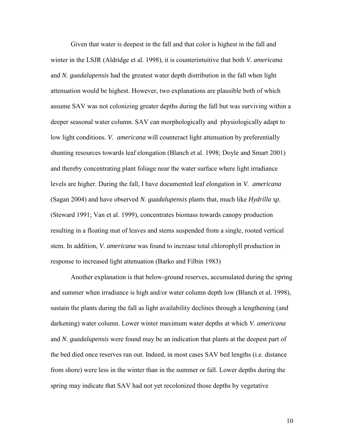Given that water is deepest in the fall and that color is highest in the fall and winter in the LSJR (Aldridge et al. 1998), it is counterintuitive that both *V. americana*  and *N. guadalupensis* had the greatest water depth distribution in the fall when light attenuation would be highest. However, two explanations are plausible both of which assume SAV was not colonizing greater depths during the fall but was surviving within a deeper seasonal water column. SAV can morphologically and physiologically adapt to low light conditions. *V. americana* will counteract light attenuation by preferentially shunting resources towards leaf elongation (Blanch et al. 1998; Doyle and Smart 2001) and thereby concentrating plant foliage near the water surface where light irradiance levels are higher. During the fall, I have documented leaf elongation in *V. americana* (Sagan 2004) and have observed *N. guadalupensis* plants that, much like *Hydrilla sp*. (Steward 1991; Van et al. 1999), concentrates biomass towards canopy production resulting in a floating mat of leaves and stems suspended from a single, rooted vertical stem. In addition, *V. americana* was found to increase total chlorophyll production in response to increased light attenuation (Barko and Filbin 1983)

Another explanation is that below-ground reserves, accumulated during the spring and summer when irradiance is high and/or water column depth low (Blanch et al. 1998), sustain the plants during the fall as light availability declines through a lengthening (and darkening) water column. Lower winter maximum water depths at which *V. americana* and *N. guadalupensis* were found may be an indication that plants at the deepest part of the bed died once reserves ran out. Indeed, in most cases SAV bed lengths (i.e. distance from shore) were less in the winter than in the summer or fall. Lower depths during the spring may indicate that SAV had not yet recolonized those depths by vegetative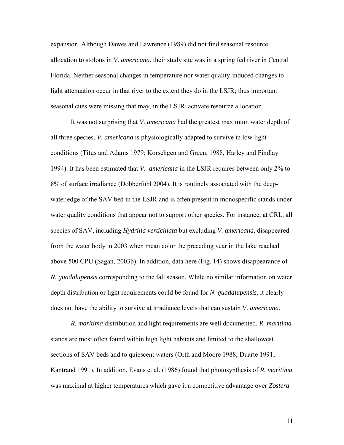expansion. Although Dawes and Lawrence (1989) did not find seasonal resource allocation to stolons in *V. americana*, their study site was in a spring fed river in Central Florida. Neither seasonal changes in temperature nor water quality-induced changes to light attenuation occur in that river to the extent they do in the LSJR; thus important seasonal cues were missing that may, in the LSJR, activate resource allocation.

It was not surprising that *V. americana* had the greatest maximum water depth of all three species. *V. americana* is physiologically adapted to survive in low light conditions (Titus and Adams 1979; Korschgen and Green. 1988, Harley and Findlay 1994). It has been estimated that *V. americana* in the LSJR requires between only 2% to 8% of surface irradiance (Dobberfuhl 2004). It is routinely associated with the deepwater edge of the SAV bed in the LSJR and is often present in monospecific stands under water quality conditions that appear not to support other species. For instance, at CRL, all species of SAV, including *Hydrilla verticillata* but excluding *V. americana*, disappeared from the water body in 2003 when mean color the preceding year in the lake reached above 500 CPU (Sagan, 2003b). In addition, data here (Fig. 14) shows disappearance of *N. guadalupensis* corresponding to the fall season. While no similar information on water depth distribution or light requirements could be found for *N. guadalupensis,* it clearly does not have the ability to survive at irradiance levels that can sustain *V. americana*.

*R. maritima* distribution and light requirements are well documented. *R. maritima* stands are most often found within high light habitats and limited to the shallowest sections of SAV beds and to quiescent waters (Orth and Moore 1988; Duarte 1991; Kantraud 1991). In addition, Evans et al. (1986) found that photosynthesis of *R. maritima* was maximal at higher temperatures which gave it a competitive advantage over *Zostera*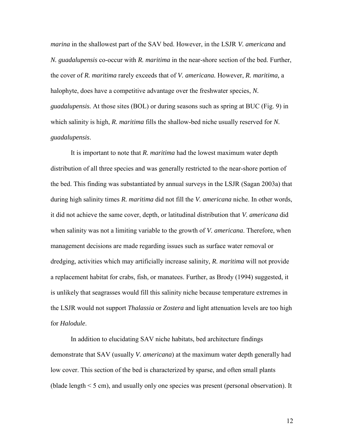*marina* in the shallowest part of the SAV bed. However, in the LSJR *V. americana* and *N. guadalupensis* co-occur with *R. maritima* in the near-shore section of the bed. Further, the cover of *R. maritima* rarely exceeds that of *V. americana.* However, *R. maritima,* a halophyte, does have a competitive advantage over the freshwater species, *N. guadalupensis.* At those sites (BOL) or during seasons such as spring at BUC (Fig. 9) in which salinity is high, *R. maritima* fills the shallow-bed niche usually reserved for *N. guadalupensis*.

It is important to note that *R. maritima* had the lowest maximum water depth distribution of all three species and was generally restricted to the near-shore portion of the bed. This finding was substantiated by annual surveys in the LSJR (Sagan 2003a) that during high salinity times *R. maritima* did not fill the *V. americana* niche. In other words, it did not achieve the same cover, depth, or latitudinal distribution that *V. americana* did when salinity was not a limiting variable to the growth of *V. americana*. Therefore, when management decisions are made regarding issues such as surface water removal or dredging, activities which may artificially increase salinity, *R. maritima* will not provide a replacement habitat for crabs, fish, or manatees. Further, as Brody (1994) suggested, it is unlikely that seagrasses would fill this salinity niche because temperature extremes in the LSJR would not support *Thalassia* or *Zostera* and light attenuation levels are too high for *Halodule*.

 In addition to elucidating SAV niche habitats, bed architecture findings demonstrate that SAV (usually *V. americana*) at the maximum water depth generally had low cover. This section of the bed is characterized by sparse, and often small plants (blade length < 5 cm), and usually only one species was present (personal observation). It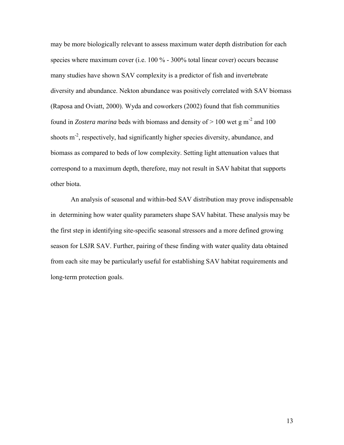may be more biologically relevant to assess maximum water depth distribution for each species where maximum cover (i.e. 100 % - 300% total linear cover) occurs because many studies have shown SAV complexity is a predictor of fish and invertebrate diversity and abundance. Nekton abundance was positively correlated with SAV biomass (Raposa and Oviatt, 2000). Wyda and coworkers (2002) found that fish communities found in *Zostera marina* beds with biomass and density of  $> 100$  wet g m<sup>-2</sup> and 100 shoots m-2, respectively, had significantly higher species diversity, abundance, and biomass as compared to beds of low complexity. Setting light attenuation values that correspond to a maximum depth, therefore, may not result in SAV habitat that supports other biota.

 An analysis of seasonal and within-bed SAV distribution may prove indispensable in determining how water quality parameters shape SAV habitat. These analysis may be the first step in identifying site-specific seasonal stressors and a more defined growing season for LSJR SAV. Further, pairing of these finding with water quality data obtained from each site may be particularly useful for establishing SAV habitat requirements and long-term protection goals.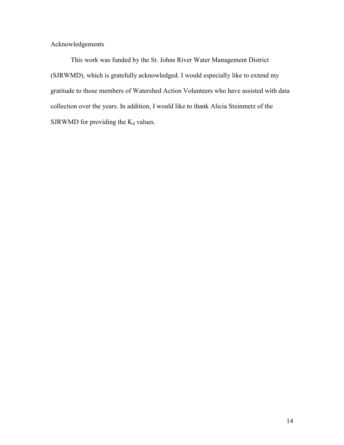Acknowledgements

This work was funded by the St. Johns River Water Management District (SJRWMD), which is gratefully acknowledged. I would especially like to extend my gratitude to those members of Watershed Action Volunteers who have assisted with data collection over the years. In addition, I would like to thank Alicia Steinmetz of the SJRWMD for providing the  $K_d$  values.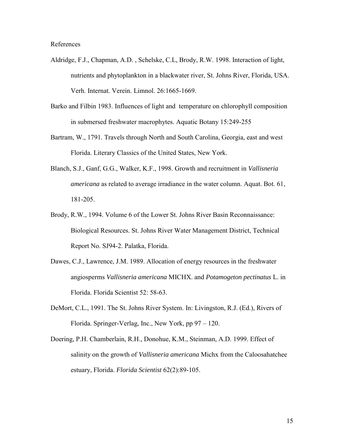References

- Aldridge, F.J., Chapman, A.D. , Schelske, C.L, Brody, R.W. 1998. Interaction of light, nutrients and phytoplankton in a blackwater river, St. Johns River, Florida, USA. Verh. Internat. Verein. Limnol. 26:1665-1669.
- Barko and Filbin 1983. Influences of light and temperature on chlorophyll composition in submersed freshwater macrophytes. Aquatic Botany 15:249-255
- Bartram, W., 1791. Travels through North and South Carolina, Georgia, east and west Florida. Literary Classics of the United States, New York.
- Blanch, S.J., Ganf, G.G., Walker, K.F., 1998. Growth and recruitment in *Vallisneria americana* as related to average irradiance in the water column. Aquat. Bot. 61, 181-205.
- Brody, R.W., 1994. Volume 6 of the Lower St. Johns River Basin Reconnaissance: Biological Resources. St. Johns River Water Management District, Technical Report No. SJ94-2. Palatka, Florida.
- Dawes, C.J., Lawrence, J.M. 1989. Allocation of energy resources in the freshwater angiosperms *Vallisneria americana* MICHX. and *Potamogeton pectinatus* L. in Florida. Florida Scientist 52: 58-63.
- DeMort, C.L., 1991. The St. Johns River System. In: Livingston, R.J. (Ed.), Rivers of Florida. Springer-Verlag, Inc., New York, pp 97 – 120.
- Doering, P.H. Chamberlain, R.H., Donohue, K.M., Steinman, A.D. 1999. Effect of salinity on the growth of *Vallisneria americana* Michx from the Caloosahatchee estuary, Florida. *Florida Scientist* 62(2):89-105.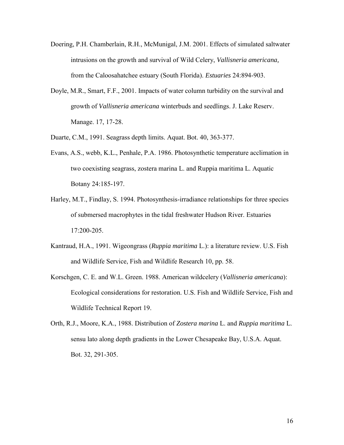- Doering, P.H. Chamberlain, R.H., McMunigal, J.M. 2001. Effects of simulated saltwater intrusions on the growth and survival of Wild Celery, *Vallisneria americana,*  from the Caloosahatchee estuary (South Florida). *Estuaries* 24:894-903.
- Doyle, M.R., Smart, F.F., 2001. Impacts of water column turbidity on the survival and growth of *Vallisneria americana* winterbuds and seedlings. J. Lake Reserv. Manage. 17, 17-28.
- Duarte, C.M., 1991. Seagrass depth limits. Aquat. Bot. 40, 363-377.
- Evans, A.S., webb, K.L., Penhale, P.A. 1986. Photosynthetic temperature acclimation in two coexisting seagrass, zostera marina L. and Ruppia maritima L. Aquatic Botany 24:185-197.
- Harley, M.T., Findlay, S. 1994. Photosynthesis-irradiance relationships for three species of submersed macrophytes in the tidal freshwater Hudson River. Estuaries 17:200-205.
- Kantraud, H.A., 1991. Wigeongrass (*Ruppia maritima* L.): a literature review. U.S. Fish and Wildlife Service, Fish and Wildlife Research 10, pp. 58.
- Korschgen, C. E. and W.L. Green. 1988. American wildcelery (*Vallisneria americana*): Ecological considerations for restoration. U.S. Fish and Wildlife Service, Fish and Wildlife Technical Report 19.
- Orth, R.J., Moore, K.A., 1988. Distribution of *Zostera marina* L. and *Ruppia maritima* L. sensu lato along depth gradients in the Lower Chesapeake Bay, U.S.A. Aquat. Bot. 32, 291-305.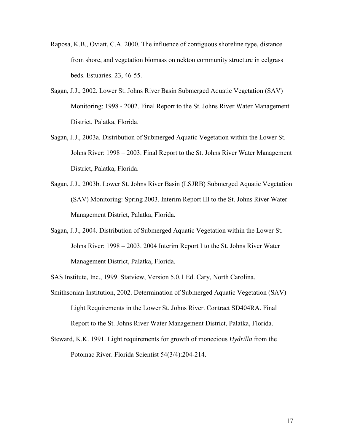- Raposa, K.B., Oviatt, C.A. 2000. The influence of contiguous shoreline type, distance from shore, and vegetation biomass on nekton community structure in eelgrass beds. Estuaries. 23, 46-55.
- Sagan, J.J., 2002. Lower St. Johns River Basin Submerged Aquatic Vegetation (SAV) Monitoring: 1998 - 2002. Final Report to the St. Johns River Water Management District, Palatka, Florida.
- Sagan, J.J., 2003a. Distribution of Submerged Aquatic Vegetation within the Lower St. Johns River: 1998 – 2003. Final Report to the St. Johns River Water Management District, Palatka, Florida.
- Sagan, J.J., 2003b. Lower St. Johns River Basin (LSJRB) Submerged Aquatic Vegetation (SAV) Monitoring: Spring 2003. Interim Report III to the St. Johns River Water Management District, Palatka, Florida.
- Sagan, J.J., 2004. Distribution of Submerged Aquatic Vegetation within the Lower St. Johns River: 1998 – 2003. 2004 Interim Report I to the St. Johns River Water Management District, Palatka, Florida.

SAS Institute, Inc., 1999. Statview, Version 5.0.1 Ed. Cary, North Carolina.

- Smithsonian Institution, 2002. Determination of Submerged Aquatic Vegetation (SAV) Light Requirements in the Lower St. Johns River. Contract SD404RA. Final Report to the St. Johns River Water Management District, Palatka, Florida.
- Steward, K.K. 1991. Light requirements for growth of monecious *Hydrilla* from the Potomac River. Florida Scientist 54(3/4):204-214.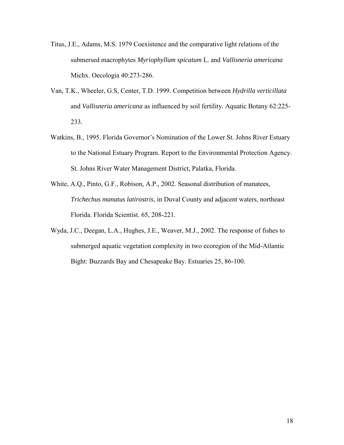- Titus, J.E., Adams, M.S. 1979 Coexistence and the comparative light relations of the submersed macrophytes *Myriophyllum spicatum* L. and *Vallisneria americana* Michx. Oecologia 40:273-286.
- Van, T.K., Wheeler, G.S, Center, T.D. 1999. Competition between *Hydrilla verticillata*  and *Vallisneria americana* as influenced by soil fertility. Aquatic Botany 62:225- 233.
- Watkins, B., 1995. Florida Governor's Nomination of the Lower St. Johns River Estuary to the National Estuary Program. Report to the Environmental Protection Agency. St. Johns River Water Management District, Palatka, Florida.
- White, A.Q., Pinto, G.F., Robison, A.P., 2002. Seasonal distribution of manatees, *Trichechus manatus latirostris*, in Duval County and adjacent waters, northeast Florida. Florida Scientist. 65, 208-221.
- Wyda, J.C., Deegan, L.A., Hughes, J.E., Weaver, M.J., 2002. The response of fishes to submerged aquatic vegetation complexity in two ecoregion of the Mid-Atlantic Bight: Buzzards Bay and Chesapeake Bay. Estuaries 25, 86-100.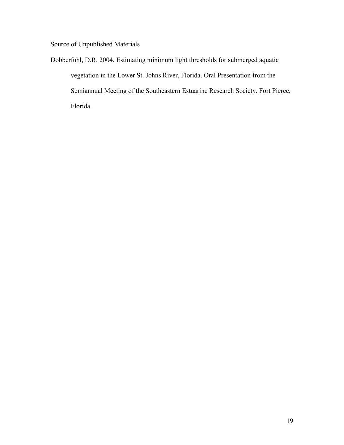Source of Unpublished Materials

Dobberfuhl, D.R. 2004. Estimating minimum light thresholds for submerged aquatic vegetation in the Lower St. Johns River, Florida. Oral Presentation from the Semiannual Meeting of the Southeastern Estuarine Research Society. Fort Pierce, Florida.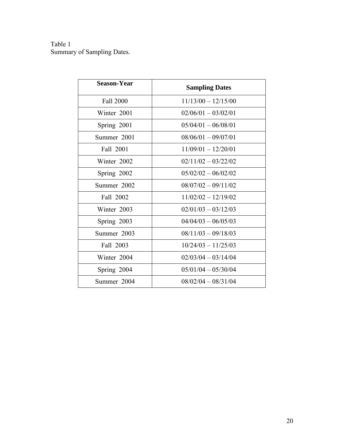Table 1 Summary of Sampling Dates.

| <b>Season-Year</b> | <b>Sampling Dates</b> |
|--------------------|-----------------------|
| <b>Fall 2000</b>   | $11/13/00 - 12/15/00$ |
| Winter 2001        | $02/06/01 - 03/02/01$ |
| Spring 2001        | $05/04/01 - 06/08/01$ |
| Summer 2001        | $08/06/01 - 09/07/01$ |
| Fall 2001          | $11/09/01 - 12/20/01$ |
| Winter 2002        | $02/11/02 - 03/22/02$ |
| Spring 2002        | $05/02/02 - 06/02/02$ |
| Summer 2002        | $08/07/02 - 09/11/02$ |
| Fall 2002          | $11/02/02 - 12/19/02$ |
| Winter 2003        | $02/01/03 - 03/12/03$ |
| Spring 2003        | $04/04/03 - 06/05/03$ |
| Summer 2003        | $08/11/03 - 09/18/03$ |
| Fall 2003          | $10/24/03 - 11/25/03$ |
| Winter 2004        | $02/03/04 - 03/14/04$ |
| Spring 2004        | $05/01/04 - 05/30/04$ |
| Summer 2004        | $08/02/04 - 08/31/04$ |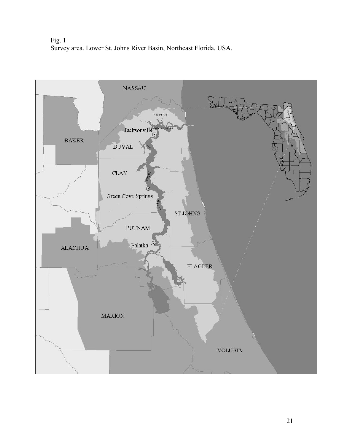Fig. 1 Survey area. Lower St. Johns River Basin, Northeast Florida, USA.

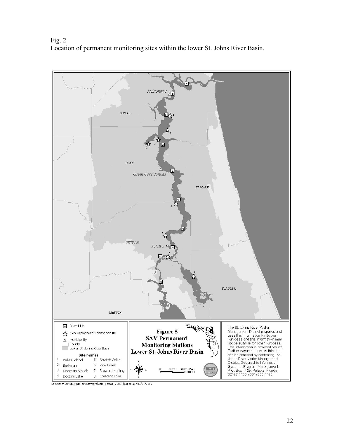Fig. 2 Location of permanent monitoring sites within the lower St. Johns River Basin.



Source: w.\es4\gis\_projects\sav\projects\_pc\sav\_2001\_jsagan.apr 03/01/2002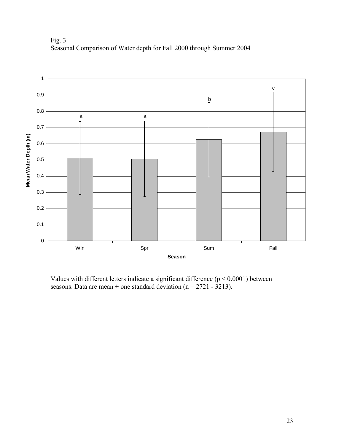Fig. 3 Seasonal Comparison of Water depth for Fall 2000 through Summer 2004



Values with different letters indicate a significant difference  $(p < 0.0001)$  between seasons. Data are mean  $\pm$  one standard deviation (n = 2721 - 3213).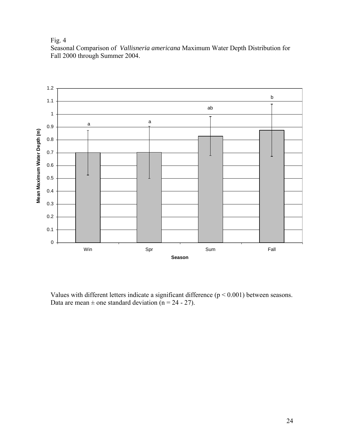Fig.  $4$ 

Seasonal Comparison of *Vallisneria americana* Maximum Water Depth Distribution for Fall 2000 through Summer 2004.



Values with different letters indicate a significant difference (p < 0.001) between seasons. Data are mean  $\pm$  one standard deviation (n = 24 - 27).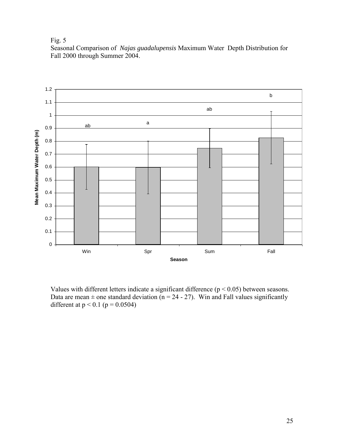

Seasonal Comparison of *Najas guadalupensis* Maximum Water Depth Distribution for Fall 2000 through Summer 2004.



Values with different letters indicate a significant difference (p < 0.05) between seasons. Data are mean  $\pm$  one standard deviation (n = 24 - 27). Win and Fall values significantly different at  $p < 0.1$  ( $p = 0.0504$ )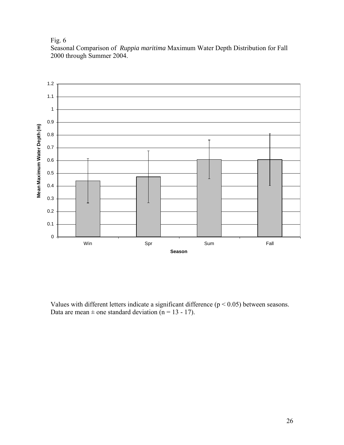

Seasonal Comparison of *Ruppia maritima* Maximum Water Depth Distribution for Fall 2000 through Summer 2004.



Values with different letters indicate a significant difference  $(p < 0.05)$  between seasons. Data are mean  $\pm$  one standard deviation (n = 13 - 17).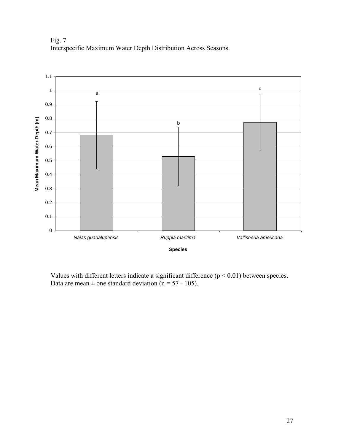Fig.  $7$ Interspecific Maximum Water Depth Distribution Across Seasons.



Values with different letters indicate a significant difference  $(p < 0.01)$  between species. Data are mean  $\pm$  one standard deviation (n = 57 - 105).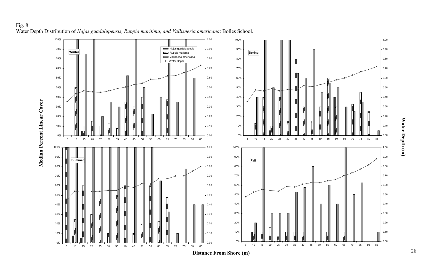Fig. 8

Water Depth Distribution of *Najas guadalupensis, Ruppia maritima, and Vallisneria americana*: Bolles School.



**Water Depth (m)**

Water Depth (m)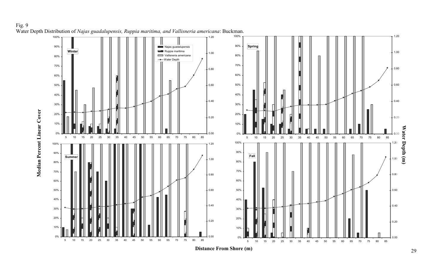

Water Depth Distribution of *Najas guadalupensis, Ruppia maritima, and Vallisneria americana*: Buckman.

Fig. 9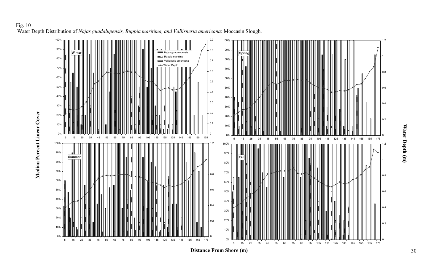# Water Depth (m) **Water Depth (m)**

1.2

#### **Winter** 90% 100% 0.8 0.9 Najas guadalupensis Ruppia maritima **Spring** 90% 100% Fig. 10 Water Depth Distribution of *Najas guadalupensis, Ruppia maritima, and Vallisneria americana*: Moccasin Slough.

**Median Percent Linear Cover**

Median Percent Linear Cover

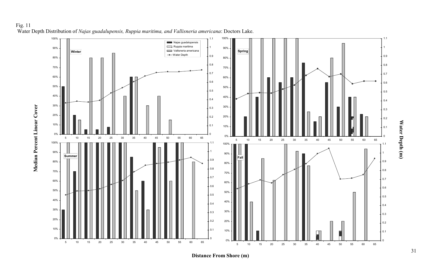

**Median Percent Linear Cover**

Median Percent Linear Cover





**Water Depth (m)**

Water Depth (m)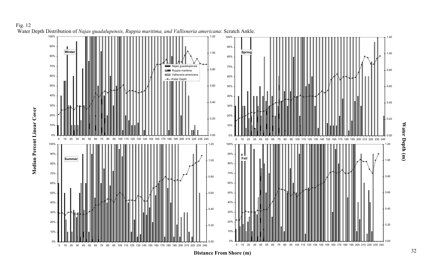## Fig. 12 Water Depth Distribution of *Najas guadalupensis, Ruppia maritima, and Vallisneria americana*: Scratch Ankle.

**Median Percent Linear Cover**

Median Percent Linear Cover



**Distance From Shore (m)**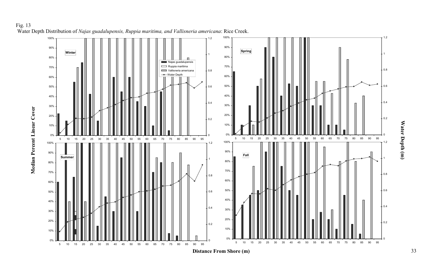### Fig. 13 Water Depth Distribution of *Najas guadalupensis, Ruppia maritima, and Vallisneria americana*: Rice Creek.

**Median Percent Linear Cover**

Median Percent Linear Cover



**Water Depth (m)**

Water Depth (m)